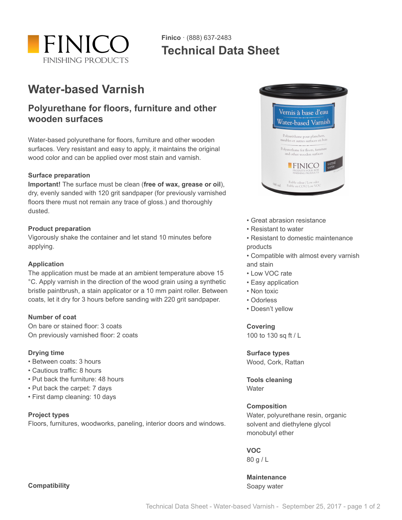

## **Finico** · (888) 637-2483 **Technical Data Sheet**

# **Water-based Varnish**

### **Polyurethane for floors, furniture and other wooden surfaces**

Water-based polyurethane for floors, furniture and other wooden surfaces. Very resistant and easy to apply, it maintains the original wood color and can be applied over most stain and varnish.

#### **Surface preparation**

**Important!** The surface must be clean (**free of wax, grease or oil**), dry, evenly sanded with 120 grit sandpaper (for previously varnished floors there must not remain any trace of gloss.) and thoroughly dusted.

#### **Product preparation**

Vigorously shake the container and let stand 10 minutes before applying.

#### **Application**

The application must be made at an ambient temperature above 15 °C. Apply varnish in the direction of the wood grain using a synthetic bristle paintbrush, a stain applicator or a 10 mm paint roller. Between coats, let it dry for 3 hours before sanding with 220 grit sandpaper.

#### **Number of coat**

On bare or stained floor: 3 coats On previously varnished floor: 2 coats

#### **Drying time**

- Between coats: 3 hours
- Cautious traffic: 8 hours
- Put back the furniture: 48 hours
- Put back the carpet: 7 days
- First damp cleaning: 10 days

#### **Project types**

Floors, furnitures, woodworks, paneling, interior doors and windows.



- Great abrasion resistance
- Resistant to water
- Resistant to domestic maintenance products
- Compatible with almost every varnish and stain
- Low VOC rate
- Easy application
- Non toxic
- Odorless
- Doesn't yellow

**Covering**

100 to 130 sq ft / L

#### **Surface types**

Wood, Cork, Rattan

**Tools cleaning Water** 

#### **Composition**

Water, polyurethane resin, organic solvent and diethylene glycol monobutyl ether

**VOC** 80 g / L

**Maintenance** Soapy water

**Compatibility**